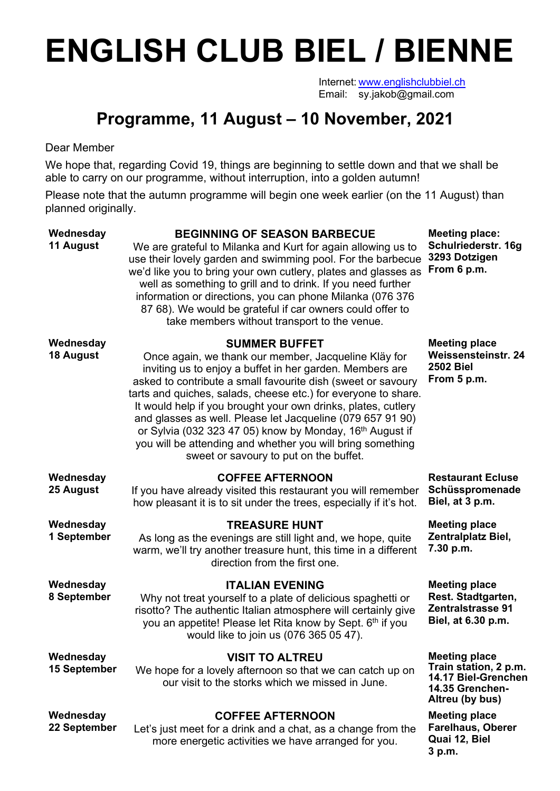## **ENGLISH CLUB BIEL / BIENNE**

Internet: www.englishclubbiel.ch Email: sy.jakob@gmail.com

## **Programme, 11 August – 10 November, 2021**

## Dear Member

We hope that, regarding Covid 19, things are beginning to settle down and that we shall be able to carry on our programme, without interruption, into a golden autumn!

Please note that the autumn programme will begin one week earlier (on the 11 August) than planned originally.

| Wednesday<br>11 August           | <b>BEGINNING OF SEASON BARBECUE</b><br>We are grateful to Milanka and Kurt for again allowing us to<br>use their lovely garden and swimming pool. For the barbecue<br>we'd like you to bring your own cutlery, plates and glasses as<br>well as something to grill and to drink. If you need further<br>information or directions, you can phone Milanka (076 376<br>87 68). We would be grateful if car owners could offer to<br>take members without transport to the venue.                                                                                                            | <b>Meeting place:</b><br>Schulriederstr. 16g<br>3293 Dotzigen<br>From 6 p.m.                               |
|----------------------------------|-------------------------------------------------------------------------------------------------------------------------------------------------------------------------------------------------------------------------------------------------------------------------------------------------------------------------------------------------------------------------------------------------------------------------------------------------------------------------------------------------------------------------------------------------------------------------------------------|------------------------------------------------------------------------------------------------------------|
| Wednesday<br>18 August           | <b>SUMMER BUFFET</b><br>Once again, we thank our member, Jacqueline Kläy for<br>inviting us to enjoy a buffet in her garden. Members are<br>asked to contribute a small favourite dish (sweet or savoury<br>tarts and quiches, salads, cheese etc.) for everyone to share.<br>It would help if you brought your own drinks, plates, cutlery<br>and glasses as well. Please let Jacqueline (079 657 91 90)<br>or Sylvia (032 323 47 05) know by Monday, 16 <sup>th</sup> August if<br>you will be attending and whether you will bring something<br>sweet or savoury to put on the buffet. | <b>Meeting place</b><br><b>Weissensteinstr. 24</b><br><b>2502 Biel</b><br>From 5 p.m.                      |
| Wednesday<br>25 August           | <b>COFFEE AFTERNOON</b><br>If you have already visited this restaurant you will remember<br>how pleasant it is to sit under the trees, especially if it's hot.                                                                                                                                                                                                                                                                                                                                                                                                                            | <b>Restaurant Ecluse</b><br>Schüsspromenade<br>Biel, at 3 p.m.                                             |
| Wednesday<br>1 September         | <b>TREASURE HUNT</b><br>As long as the evenings are still light and, we hope, quite<br>warm, we'll try another treasure hunt, this time in a different<br>direction from the first one.                                                                                                                                                                                                                                                                                                                                                                                                   | <b>Meeting place</b><br>Zentralplatz Biel,<br>7.30 p.m.                                                    |
| Wednesday<br>8 September         | <b>ITALIAN EVENING</b><br>Why not treat yourself to a plate of delicious spaghetti or<br>risotto? The authentic Italian atmosphere will certainly give<br>you an appetite! Please let Rita know by Sept. 6th if you<br>would like to join us (076 365 05 47).                                                                                                                                                                                                                                                                                                                             | <b>Meeting place</b><br>Rest. Stadtgarten,<br><b>Zentralstrasse 91</b><br>Biel, at 6.30 p.m.               |
| Wednesday<br><b>15 September</b> | <b>VISIT TO ALTREU</b><br>We hope for a lovely afternoon so that we can catch up on<br>our visit to the storks which we missed in June.                                                                                                                                                                                                                                                                                                                                                                                                                                                   | <b>Meeting place</b><br>Train station, 2 p.m.<br>14.17 Biel-Grenchen<br>14.35 Grenchen-<br>Altreu (by bus) |
| Wednesday<br>22 September        | <b>COFFEE AFTERNOON</b><br>Let's just meet for a drink and a chat, as a change from the<br>more energetic activities we have arranged for you.                                                                                                                                                                                                                                                                                                                                                                                                                                            | <b>Meeting place</b><br><b>Farelhaus, Oberer</b><br>Quai 12, Biel<br>3 p.m.                                |